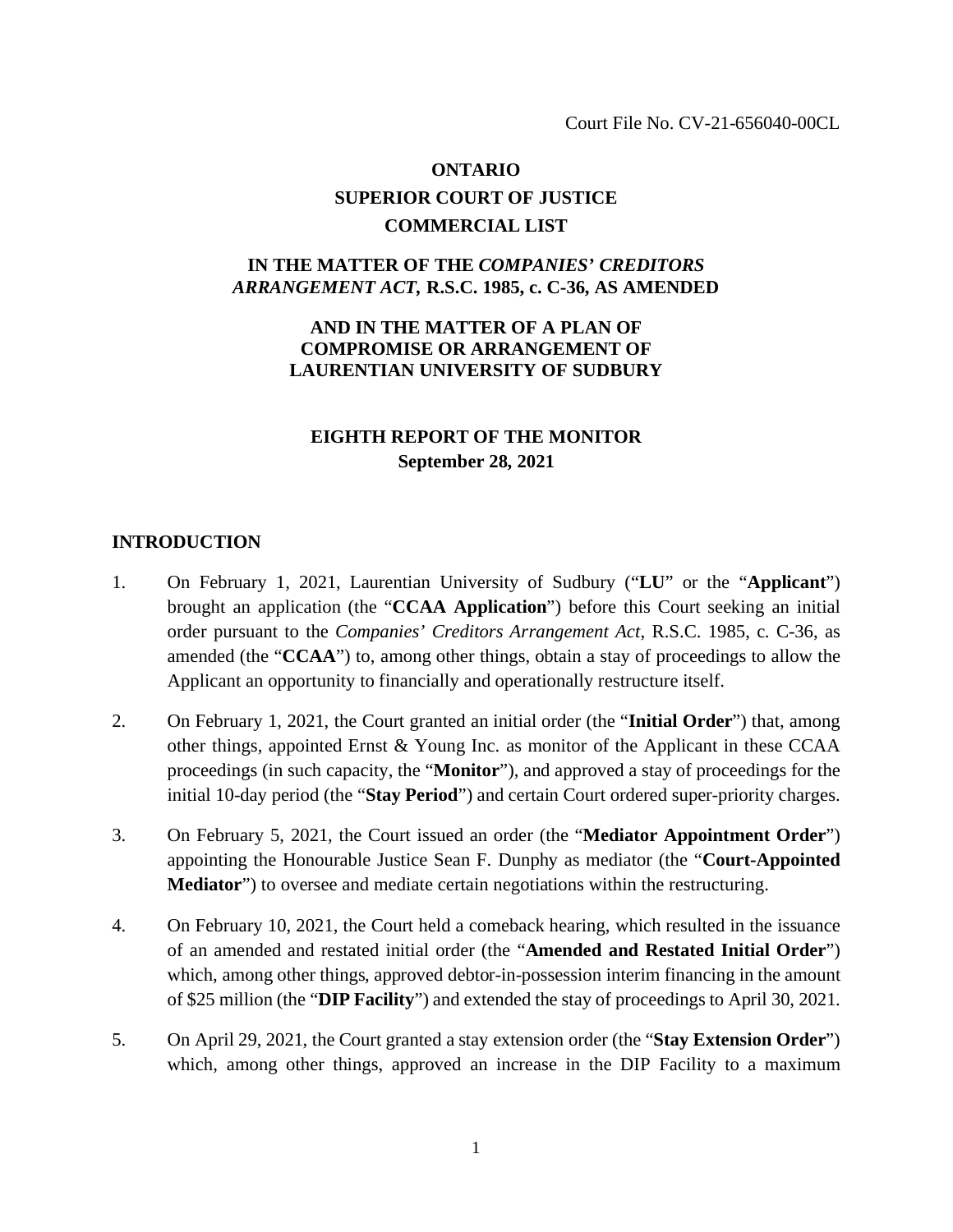Court File No. CV-21-656040-00CL

# **ONTARIO SUPERIOR COURT OF JUSTICE COMMERCIAL LIST**

## **IN THE MATTER OF THE** *COMPANIES' CREDITORS ARRANGEMENT ACT,* **R.S.C. 1985, c. C-36, AS AMENDED**

## **AND IN THE MATTER OF A PLAN OF COMPROMISE OR ARRANGEMENT OF LAURENTIAN UNIVERSITY OF SUDBURY**

## **EIGHTH REPORT OF THE MONITOR September 28, 2021**

#### **INTRODUCTION**

- 1. On February 1, 2021, Laurentian University of Sudbury ("**LU**" or the "**Applicant**") brought an application (the "**CCAA Application**") before this Court seeking an initial order pursuant to the *Companies' Creditors Arrangement Act*, R.S.C. 1985, c. C-36, as amended (the "**CCAA**") to, among other things, obtain a stay of proceedings to allow the Applicant an opportunity to financially and operationally restructure itself.
- 2. On February 1, 2021, the Court granted an initial order (the "**Initial Order**") that, among other things, appointed Ernst & Young Inc. as monitor of the Applicant in these CCAA proceedings (in such capacity, the "**Monitor**"), and approved a stay of proceedings for the initial 10-day period (the "**Stay Period**") and certain Court ordered super-priority charges.
- 3. On February 5, 2021, the Court issued an order (the "**Mediator Appointment Order**") appointing the Honourable Justice Sean F. Dunphy as mediator (the "**Court-Appointed Mediator**") to oversee and mediate certain negotiations within the restructuring.
- 4. On February 10, 2021, the Court held a comeback hearing, which resulted in the issuance of an amended and restated initial order (the "**Amended and Restated Initial Order**") which, among other things, approved debtor-in-possession interim financing in the amount of \$25 million (the "**DIP Facility**") and extended the stay of proceedings to April 30, 2021.
- 5. On April 29, 2021, the Court granted a stay extension order (the "**Stay Extension Order**") which, among other things, approved an increase in the DIP Facility to a maximum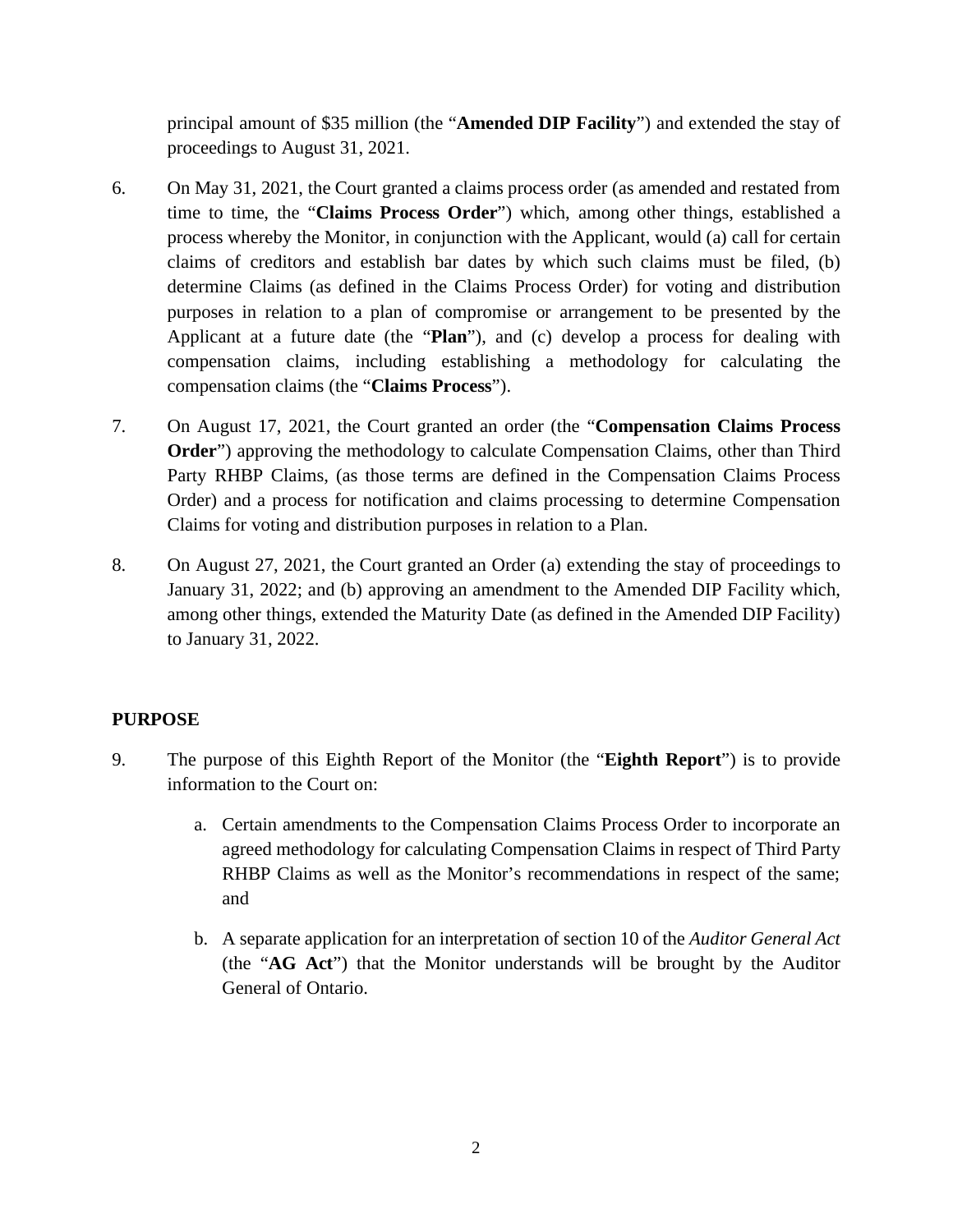principal amount of \$35 million (the "**Amended DIP Facility**") and extended the stay of proceedings to August 31, 2021.

- 6. On May 31, 2021, the Court granted a claims process order (as amended and restated from time to time, the "**Claims Process Order**") which, among other things, established a process whereby the Monitor, in conjunction with the Applicant, would (a) call for certain claims of creditors and establish bar dates by which such claims must be filed, (b) determine Claims (as defined in the Claims Process Order) for voting and distribution purposes in relation to a plan of compromise or arrangement to be presented by the Applicant at a future date (the "**Plan**"), and (c) develop a process for dealing with compensation claims, including establishing a methodology for calculating the compensation claims (the "**Claims Process**").
- 7. On August 17, 2021, the Court granted an order (the "**Compensation Claims Process Order**") approving the methodology to calculate Compensation Claims, other than Third Party RHBP Claims, (as those terms are defined in the Compensation Claims Process Order) and a process for notification and claims processing to determine Compensation Claims for voting and distribution purposes in relation to a Plan.
- 8. On August 27, 2021, the Court granted an Order (a) extending the stay of proceedings to January 31, 2022; and (b) approving an amendment to the Amended DIP Facility which, among other things, extended the Maturity Date (as defined in the Amended DIP Facility) to January 31, 2022.

## **PURPOSE**

- 9. The purpose of this Eighth Report of the Monitor (the "**Eighth Report**") is to provide information to the Court on:
	- a. Certain amendments to the Compensation Claims Process Order to incorporate an agreed methodology for calculating Compensation Claims in respect of Third Party RHBP Claims as well as the Monitor's recommendations in respect of the same; and
	- b. A separate application for an interpretation of section 10 of the *Auditor General Act* (the "**AG Act**") that the Monitor understands will be brought by the Auditor General of Ontario.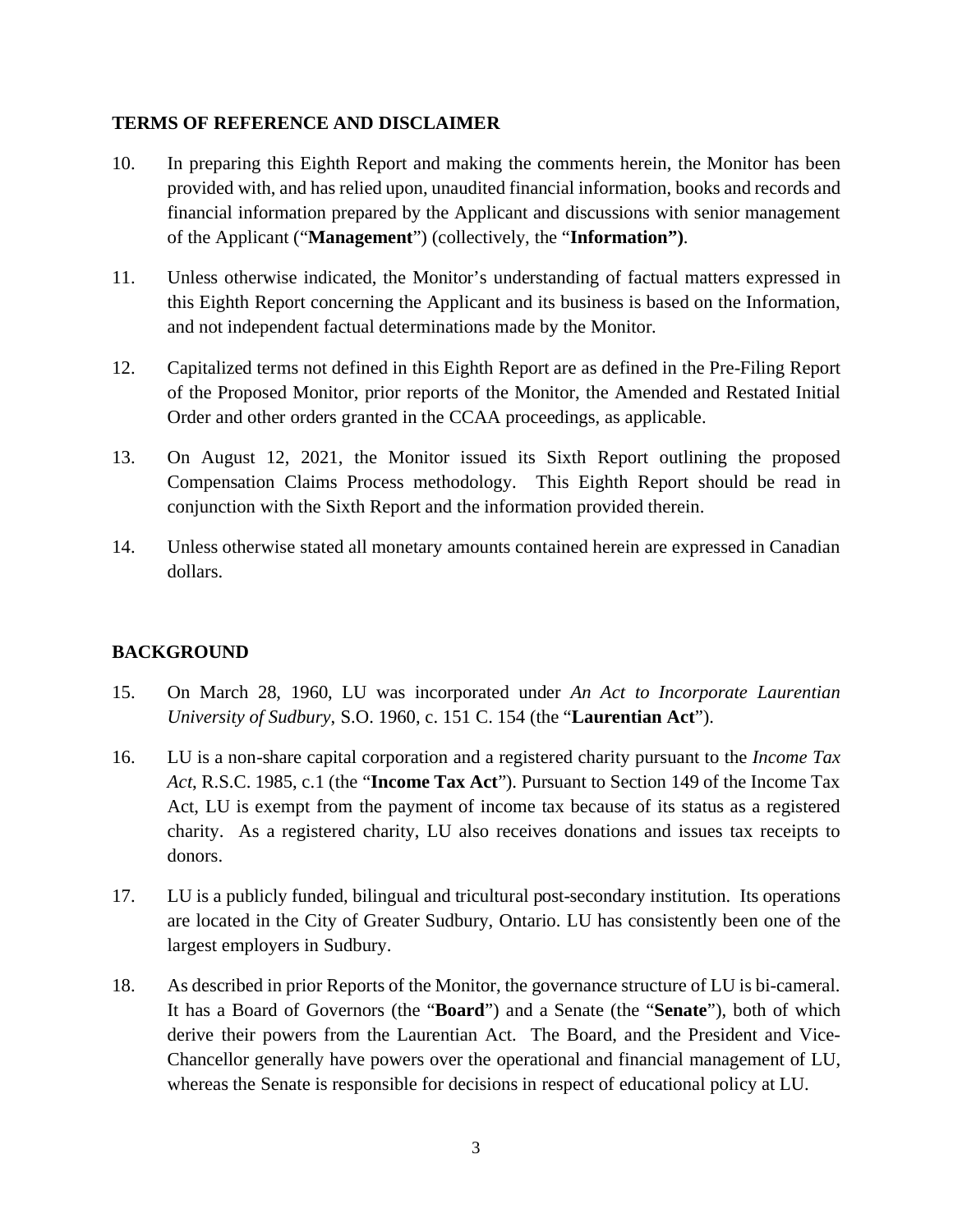#### **TERMS OF REFERENCE AND DISCLAIMER**

- 10. In preparing this Eighth Report and making the comments herein, the Monitor has been provided with, and has relied upon, unaudited financial information, books and records and financial information prepared by the Applicant and discussions with senior management of the Applicant ("**Management**") (collectively, the "**Information")**.
- 11. Unless otherwise indicated, the Monitor's understanding of factual matters expressed in this Eighth Report concerning the Applicant and its business is based on the Information, and not independent factual determinations made by the Monitor.
- 12. Capitalized terms not defined in this Eighth Report are as defined in the Pre-Filing Report of the Proposed Monitor, prior reports of the Monitor, the Amended and Restated Initial Order and other orders granted in the CCAA proceedings, as applicable.
- 13. On August 12, 2021, the Monitor issued its Sixth Report outlining the proposed Compensation Claims Process methodology. This Eighth Report should be read in conjunction with the Sixth Report and the information provided therein.
- 14. Unless otherwise stated all monetary amounts contained herein are expressed in Canadian dollars.

## **BACKGROUND**

- 15. On March 28, 1960, LU was incorporated under *An Act to Incorporate Laurentian University of Sudbury*, S.O. 1960, c. 151 C. 154 (the "**Laurentian Act**").
- 16. LU is a non-share capital corporation and a registered charity pursuant to the *Income Tax Act*, R.S.C. 1985, c.1 (the "**Income Tax Act**"). Pursuant to Section 149 of the Income Tax Act, LU is exempt from the payment of income tax because of its status as a registered charity. As a registered charity, LU also receives donations and issues tax receipts to donors.
- 17. LU is a publicly funded, bilingual and tricultural post-secondary institution. Its operations are located in the City of Greater Sudbury, Ontario. LU has consistently been one of the largest employers in Sudbury.
- 18. As described in prior Reports of the Monitor, the governance structure of LU is bi-cameral. It has a Board of Governors (the "**Board**") and a Senate (the "**Senate**"), both of which derive their powers from the Laurentian Act. The Board, and the President and Vice-Chancellor generally have powers over the operational and financial management of LU, whereas the Senate is responsible for decisions in respect of educational policy at LU.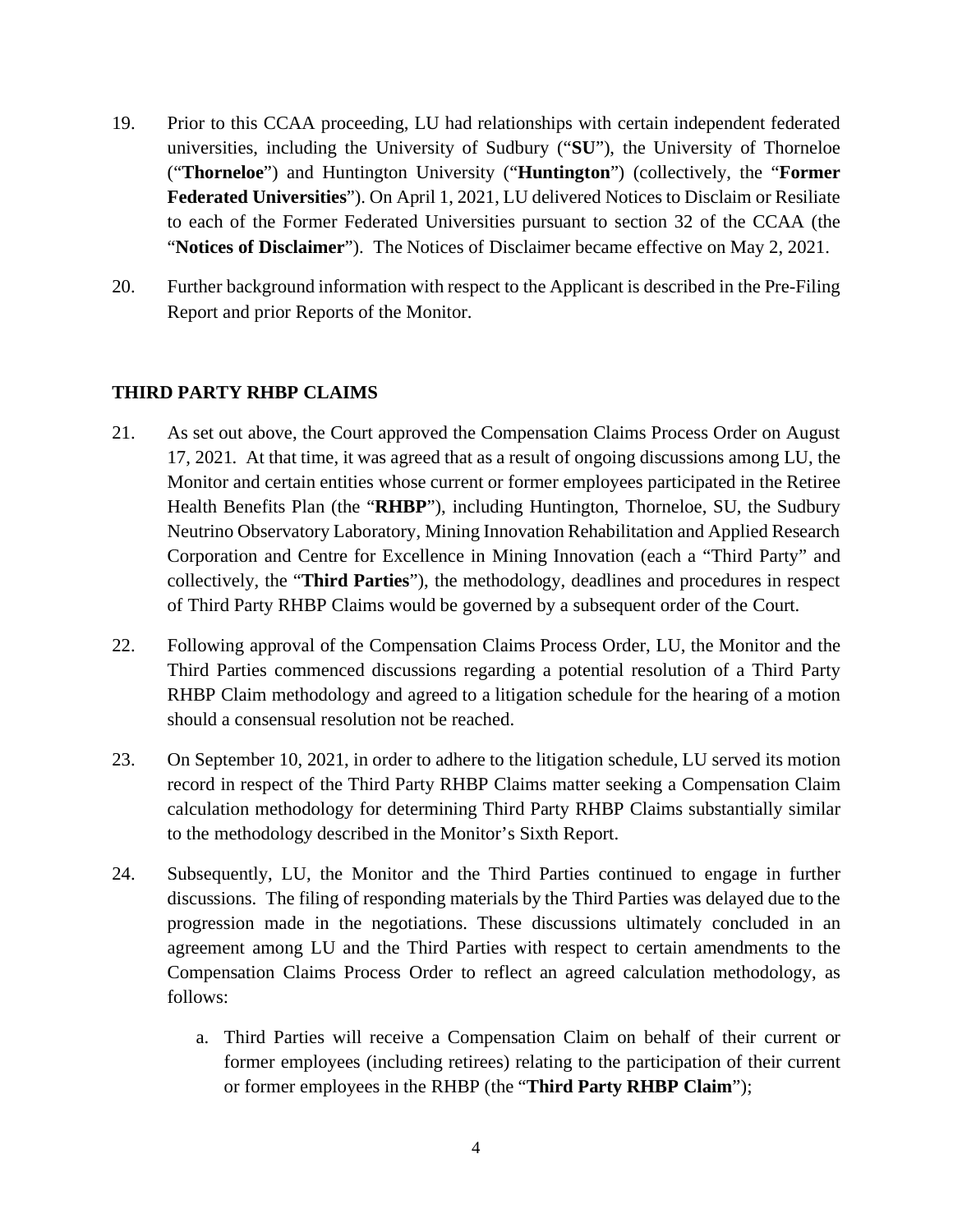- 19. Prior to this CCAA proceeding, LU had relationships with certain independent federated universities, including the University of Sudbury ("**SU**"), the University of Thorneloe ("**Thorneloe**") and Huntington University ("**Huntington**") (collectively, the "**Former Federated Universities**"). On April 1, 2021, LU delivered Notices to Disclaim or Resiliate to each of the Former Federated Universities pursuant to section 32 of the CCAA (the "**Notices of Disclaimer**"). The Notices of Disclaimer became effective on May 2, 2021.
- 20. Further background information with respect to the Applicant is described in the Pre-Filing Report and prior Reports of the Monitor.

## **THIRD PARTY RHBP CLAIMS**

- 21. As set out above, the Court approved the Compensation Claims Process Order on August 17, 2021. At that time, it was agreed that as a result of ongoing discussions among LU, the Monitor and certain entities whose current or former employees participated in the Retiree Health Benefits Plan (the "**RHBP**"), including Huntington, Thorneloe, SU, the Sudbury Neutrino Observatory Laboratory, Mining Innovation Rehabilitation and Applied Research Corporation and Centre for Excellence in Mining Innovation (each a "Third Party" and collectively, the "**Third Parties**"), the methodology, deadlines and procedures in respect of Third Party RHBP Claims would be governed by a subsequent order of the Court.
- 22. Following approval of the Compensation Claims Process Order, LU, the Monitor and the Third Parties commenced discussions regarding a potential resolution of a Third Party RHBP Claim methodology and agreed to a litigation schedule for the hearing of a motion should a consensual resolution not be reached.
- 23. On September 10, 2021, in order to adhere to the litigation schedule, LU served its motion record in respect of the Third Party RHBP Claims matter seeking a Compensation Claim calculation methodology for determining Third Party RHBP Claims substantially similar to the methodology described in the Monitor's Sixth Report.
- 24. Subsequently, LU, the Monitor and the Third Parties continued to engage in further discussions. The filing of responding materials by the Third Parties was delayed due to the progression made in the negotiations. These discussions ultimately concluded in an agreement among LU and the Third Parties with respect to certain amendments to the Compensation Claims Process Order to reflect an agreed calculation methodology, as follows:
	- a. Third Parties will receive a Compensation Claim on behalf of their current or former employees (including retirees) relating to the participation of their current or former employees in the RHBP (the "**Third Party RHBP Claim**");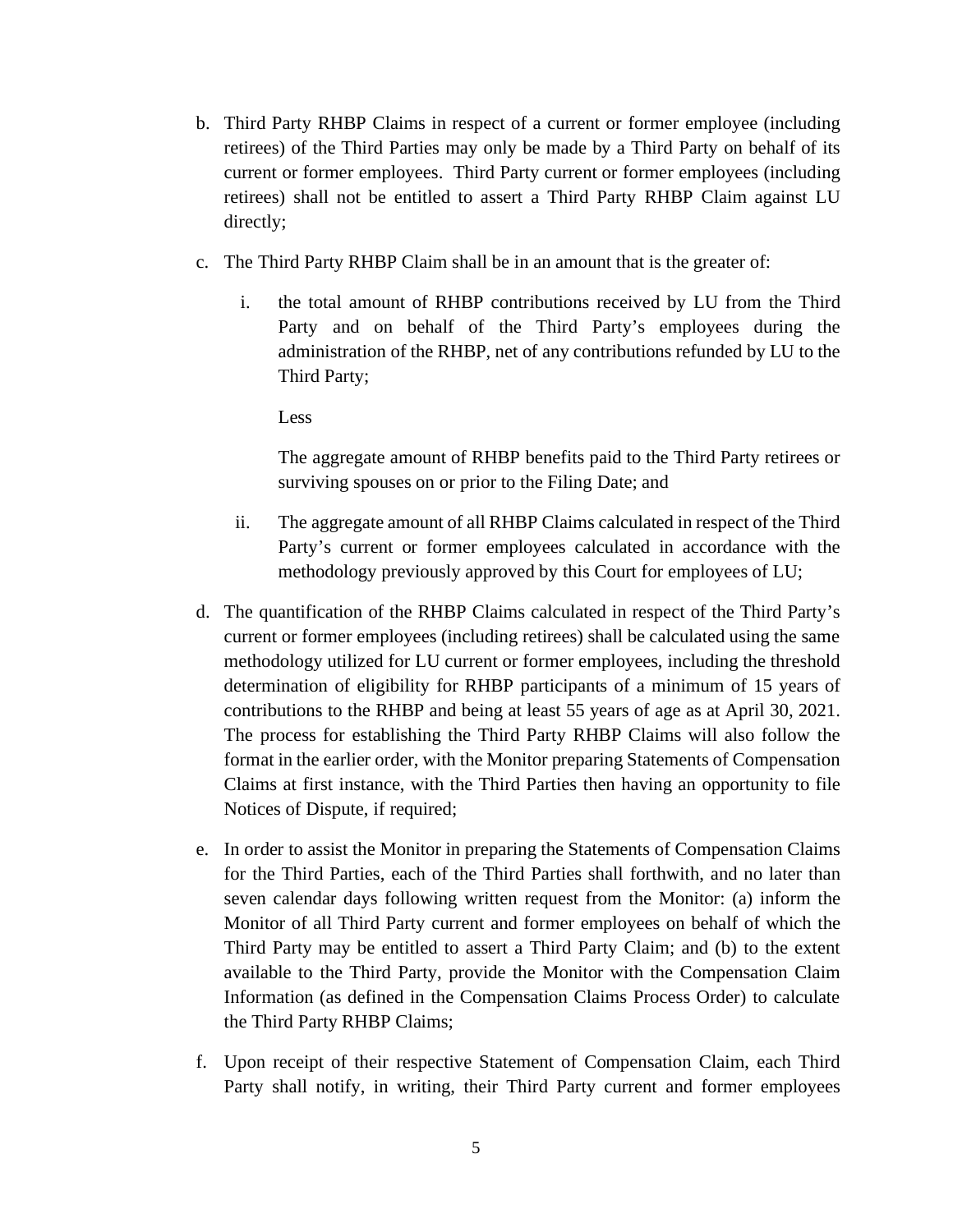- b. Third Party RHBP Claims in respect of a current or former employee (including retirees) of the Third Parties may only be made by a Third Party on behalf of its current or former employees. Third Party current or former employees (including retirees) shall not be entitled to assert a Third Party RHBP Claim against LU directly;
- c. The Third Party RHBP Claim shall be in an amount that is the greater of:
	- i. the total amount of RHBP contributions received by LU from the Third Party and on behalf of the Third Party's employees during the administration of the RHBP, net of any contributions refunded by LU to the Third Party;

Less

The aggregate amount of RHBP benefits paid to the Third Party retirees or surviving spouses on or prior to the Filing Date; and

- ii. The aggregate amount of all RHBP Claims calculated in respect of the Third Party's current or former employees calculated in accordance with the methodology previously approved by this Court for employees of LU;
- d. The quantification of the RHBP Claims calculated in respect of the Third Party's current or former employees (including retirees) shall be calculated using the same methodology utilized for LU current or former employees, including the threshold determination of eligibility for RHBP participants of a minimum of 15 years of contributions to the RHBP and being at least 55 years of age as at April 30, 2021. The process for establishing the Third Party RHBP Claims will also follow the format in the earlier order, with the Monitor preparing Statements of Compensation Claims at first instance, with the Third Parties then having an opportunity to file Notices of Dispute, if required;
- e. In order to assist the Monitor in preparing the Statements of Compensation Claims for the Third Parties, each of the Third Parties shall forthwith, and no later than seven calendar days following written request from the Monitor: (a) inform the Monitor of all Third Party current and former employees on behalf of which the Third Party may be entitled to assert a Third Party Claim; and (b) to the extent available to the Third Party, provide the Monitor with the Compensation Claim Information (as defined in the Compensation Claims Process Order) to calculate the Third Party RHBP Claims;
- f. Upon receipt of their respective Statement of Compensation Claim, each Third Party shall notify, in writing, their Third Party current and former employees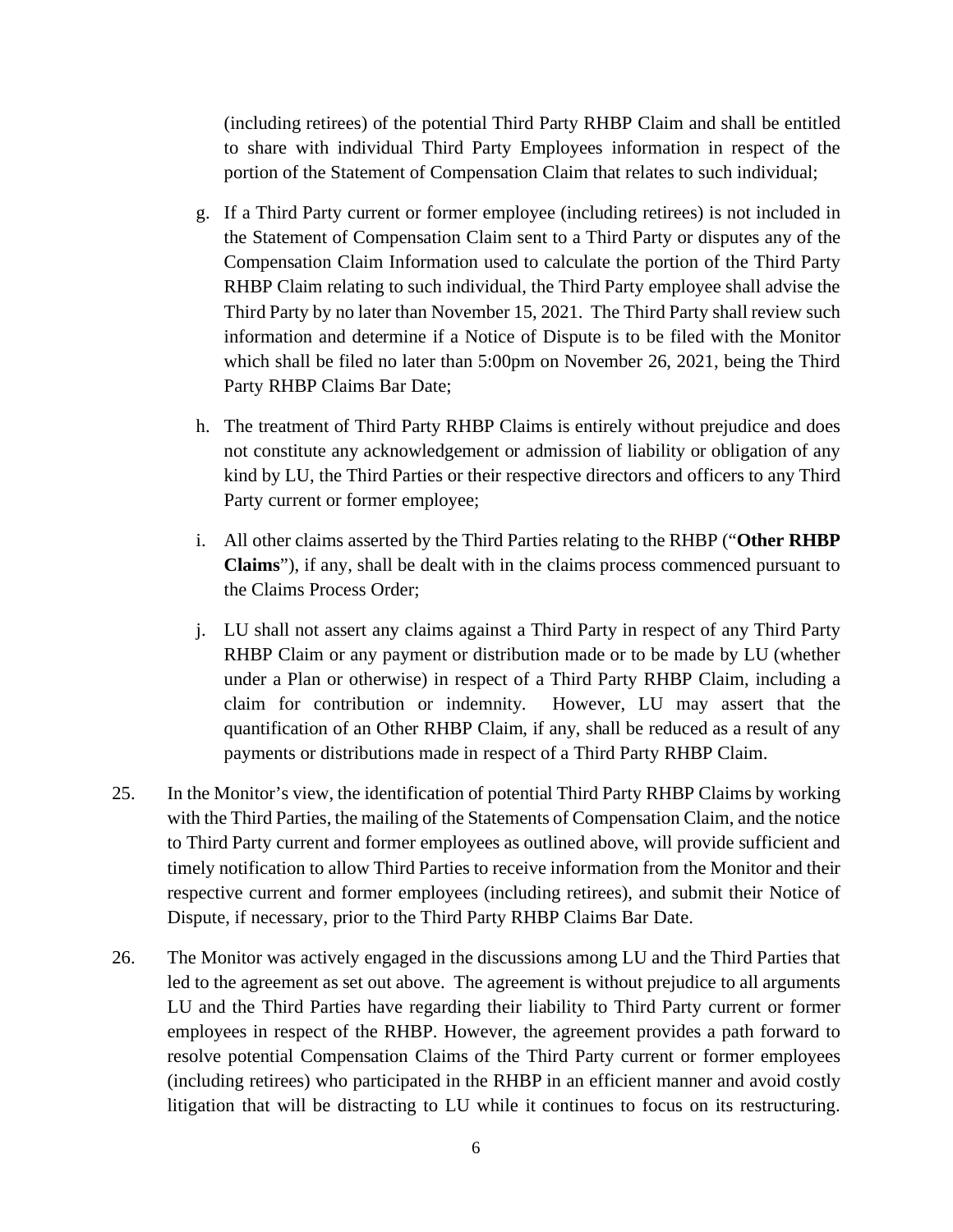(including retirees) of the potential Third Party RHBP Claim and shall be entitled to share with individual Third Party Employees information in respect of the portion of the Statement of Compensation Claim that relates to such individual;

- g. If a Third Party current or former employee (including retirees) is not included in the Statement of Compensation Claim sent to a Third Party or disputes any of the Compensation Claim Information used to calculate the portion of the Third Party RHBP Claim relating to such individual, the Third Party employee shall advise the Third Party by no later than November 15, 2021. The Third Party shall review such information and determine if a Notice of Dispute is to be filed with the Monitor which shall be filed no later than 5:00pm on November 26, 2021, being the Third Party RHBP Claims Bar Date;
- h. The treatment of Third Party RHBP Claims is entirely without prejudice and does not constitute any acknowledgement or admission of liability or obligation of any kind by LU, the Third Parties or their respective directors and officers to any Third Party current or former employee;
- i. All other claims asserted by the Third Parties relating to the RHBP ("**Other RHBP Claims**"), if any, shall be dealt with in the claims process commenced pursuant to the Claims Process Order;
- j. LU shall not assert any claims against a Third Party in respect of any Third Party RHBP Claim or any payment or distribution made or to be made by LU (whether under a Plan or otherwise) in respect of a Third Party RHBP Claim, including a claim for contribution or indemnity. However, LU may assert that the quantification of an Other RHBP Claim, if any, shall be reduced as a result of any payments or distributions made in respect of a Third Party RHBP Claim.
- 25. In the Monitor's view, the identification of potential Third Party RHBP Claims by working with the Third Parties, the mailing of the Statements of Compensation Claim, and the notice to Third Party current and former employees as outlined above, will provide sufficient and timely notification to allow Third Parties to receive information from the Monitor and their respective current and former employees (including retirees), and submit their Notice of Dispute, if necessary, prior to the Third Party RHBP Claims Bar Date.
- 26. The Monitor was actively engaged in the discussions among LU and the Third Parties that led to the agreement as set out above. The agreement is without prejudice to all arguments LU and the Third Parties have regarding their liability to Third Party current or former employees in respect of the RHBP. However, the agreement provides a path forward to resolve potential Compensation Claims of the Third Party current or former employees (including retirees) who participated in the RHBP in an efficient manner and avoid costly litigation that will be distracting to LU while it continues to focus on its restructuring.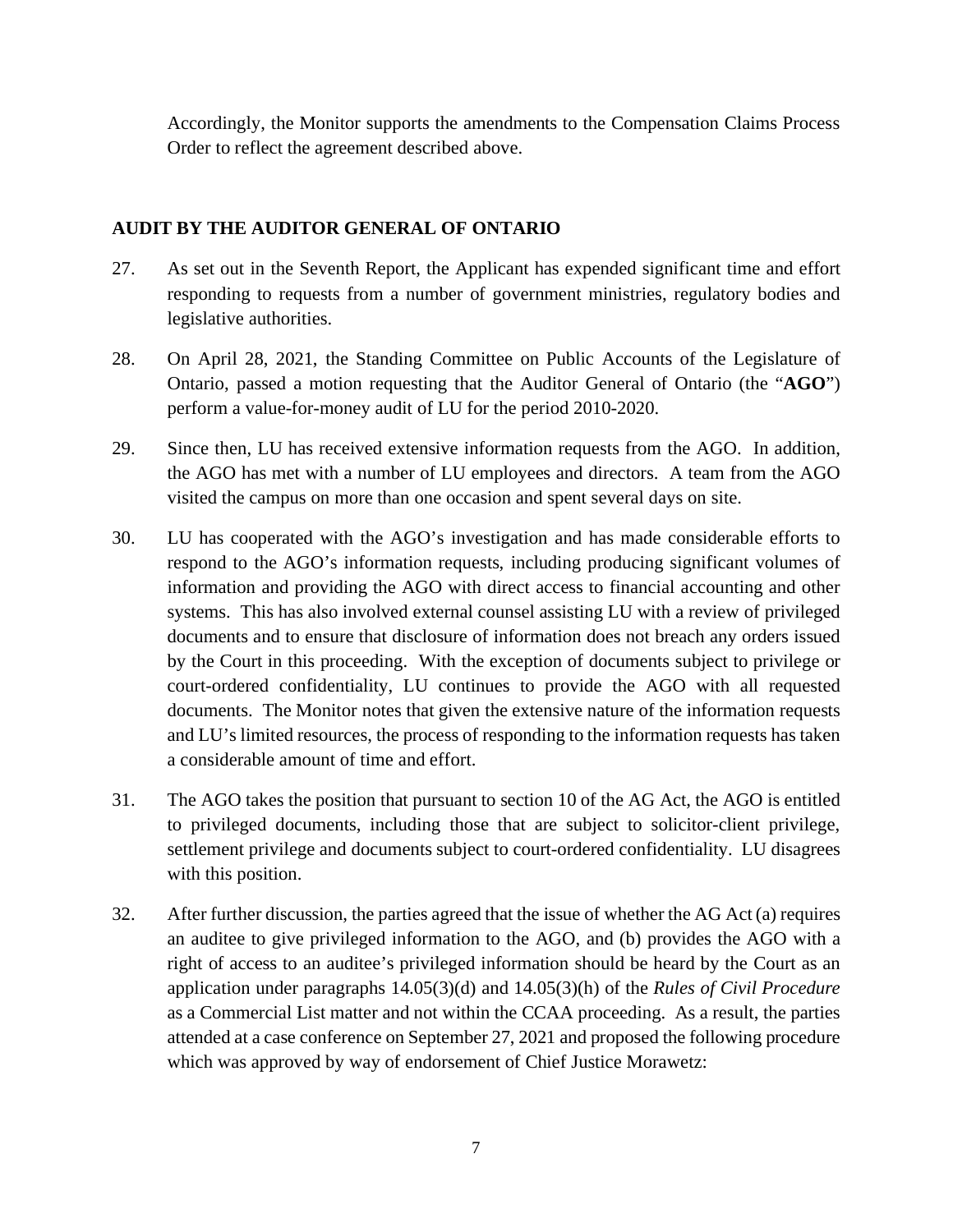Accordingly, the Monitor supports the amendments to the Compensation Claims Process Order to reflect the agreement described above.

## **AUDIT BY THE AUDITOR GENERAL OF ONTARIO**

- 27. As set out in the Seventh Report, the Applicant has expended significant time and effort responding to requests from a number of government ministries, regulatory bodies and legislative authorities.
- 28. On April 28, 2021, the Standing Committee on Public Accounts of the Legislature of Ontario, passed a motion requesting that the Auditor General of Ontario (the "**AGO**") perform a value-for-money audit of LU for the period 2010-2020.
- 29. Since then, LU has received extensive information requests from the AGO. In addition, the AGO has met with a number of LU employees and directors. A team from the AGO visited the campus on more than one occasion and spent several days on site.
- 30. LU has cooperated with the AGO's investigation and has made considerable efforts to respond to the AGO's information requests, including producing significant volumes of information and providing the AGO with direct access to financial accounting and other systems. This has also involved external counsel assisting LU with a review of privileged documents and to ensure that disclosure of information does not breach any orders issued by the Court in this proceeding. With the exception of documents subject to privilege or court-ordered confidentiality, LU continues to provide the AGO with all requested documents. The Monitor notes that given the extensive nature of the information requests and LU's limited resources, the process of responding to the information requests has taken a considerable amount of time and effort.
- 31. The AGO takes the position that pursuant to section 10 of the AG Act, the AGO is entitled to privileged documents, including those that are subject to solicitor-client privilege, settlement privilege and documents subject to court-ordered confidentiality. LU disagrees with this position.
- 32. After further discussion, the parties agreed that the issue of whether the AG Act (a) requires an auditee to give privileged information to the AGO, and (b) provides the AGO with a right of access to an auditee's privileged information should be heard by the Court as an application under paragraphs 14.05(3)(d) and 14.05(3)(h) of the *Rules of Civil Procedure* as a Commercial List matter and not within the CCAA proceeding. As a result, the parties attended at a case conference on September 27, 2021 and proposed the following procedure which was approved by way of endorsement of Chief Justice Morawetz: